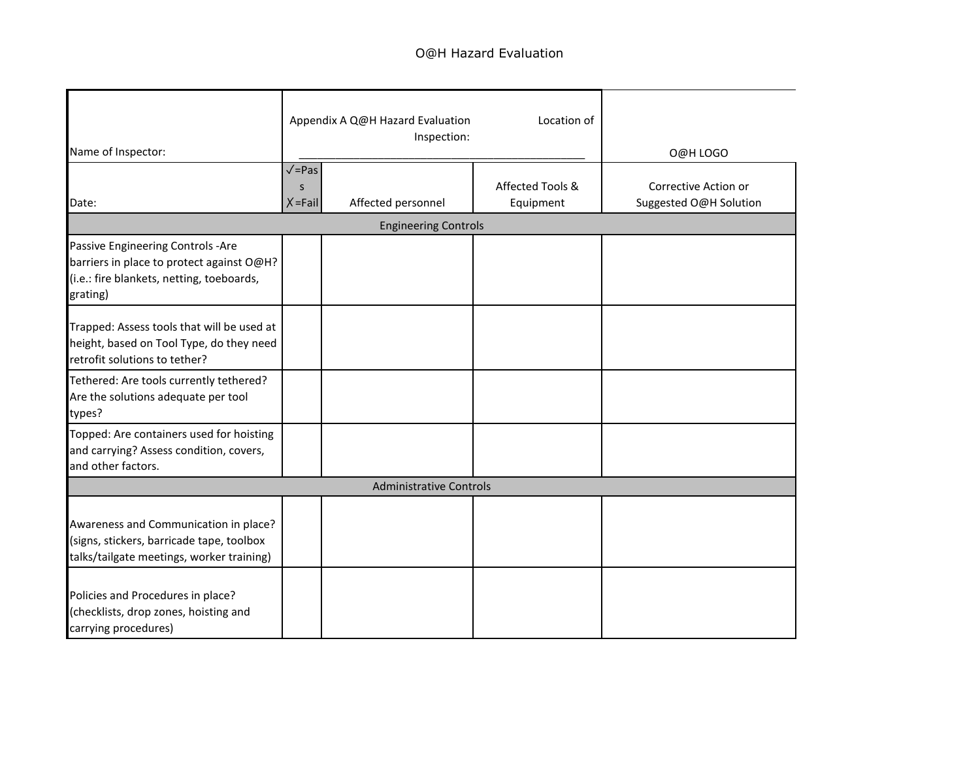## O@H Hazard Evaluation

| Name of Inspector:                                                                                                                      |                                                       | Appendix A Q@H Hazard Evaluation<br>Inspection: | O@H LOGO                      |                                                |  |  |  |  |
|-----------------------------------------------------------------------------------------------------------------------------------------|-------------------------------------------------------|-------------------------------------------------|-------------------------------|------------------------------------------------|--|--|--|--|
| Date:                                                                                                                                   | $\sqrt{\frac{1}{2}}$ Pas<br>$\mathsf S$<br>$X = Fail$ | Affected personnel                              | Affected Tools &<br>Equipment | Corrective Action or<br>Suggested O@H Solution |  |  |  |  |
| <b>Engineering Controls</b>                                                                                                             |                                                       |                                                 |                               |                                                |  |  |  |  |
| Passive Engineering Controls -Are<br>barriers in place to protect against O@H?<br>(i.e.: fire blankets, netting, toeboards,<br>grating) |                                                       |                                                 |                               |                                                |  |  |  |  |
| Trapped: Assess tools that will be used at<br>height, based on Tool Type, do they need<br>retrofit solutions to tether?                 |                                                       |                                                 |                               |                                                |  |  |  |  |
| Tethered: Are tools currently tethered?<br>Are the solutions adequate per tool<br>types?                                                |                                                       |                                                 |                               |                                                |  |  |  |  |
| Topped: Are containers used for hoisting<br>and carrying? Assess condition, covers,<br>and other factors.                               |                                                       |                                                 |                               |                                                |  |  |  |  |
|                                                                                                                                         |                                                       | <b>Administrative Controls</b>                  |                               |                                                |  |  |  |  |
| Awareness and Communication in place?<br>(signs, stickers, barricade tape, toolbox<br>talks/tailgate meetings, worker training)         |                                                       |                                                 |                               |                                                |  |  |  |  |
| Policies and Procedures in place?<br>(checklists, drop zones, hoisting and<br>carrying procedures)                                      |                                                       |                                                 |                               |                                                |  |  |  |  |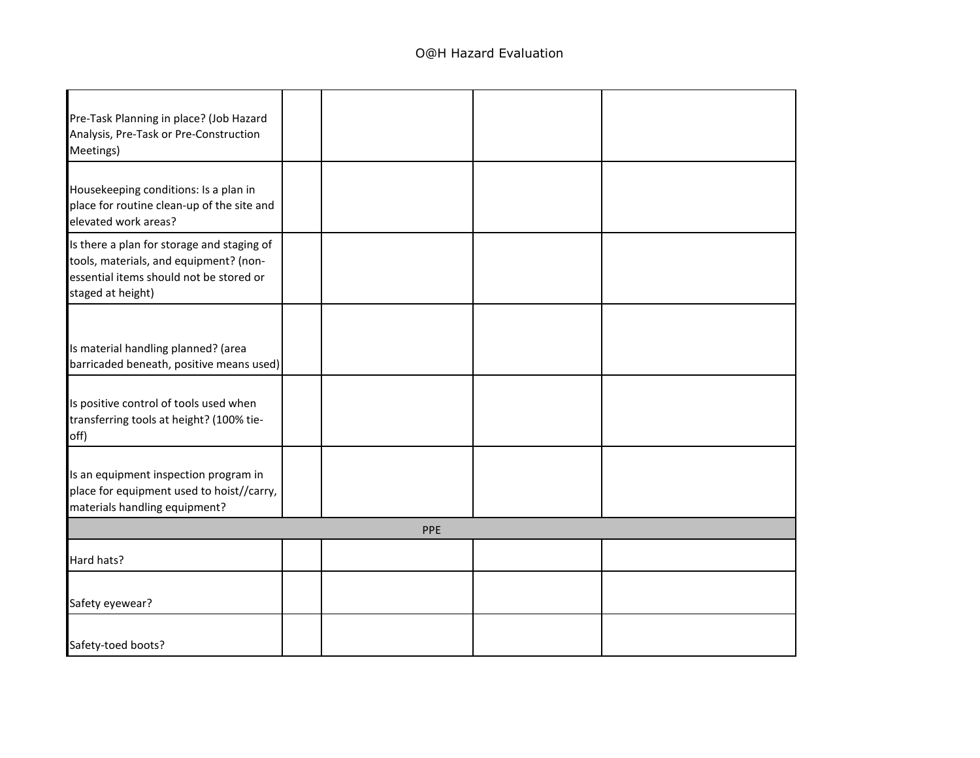| Pre-Task Planning in place? (Job Hazard                                                                                                              |     |  |
|------------------------------------------------------------------------------------------------------------------------------------------------------|-----|--|
| Analysis, Pre-Task or Pre-Construction<br>Meetings)                                                                                                  |     |  |
| Housekeeping conditions: Is a plan in<br>place for routine clean-up of the site and<br>elevated work areas?                                          |     |  |
| Is there a plan for storage and staging of<br>tools, materials, and equipment? (non-<br>essential items should not be stored or<br>staged at height) |     |  |
| Is material handling planned? (area<br>barricaded beneath, positive means used)                                                                      |     |  |
| Is positive control of tools used when<br>transferring tools at height? (100% tie-<br>off)                                                           |     |  |
| Is an equipment inspection program in<br>place for equipment used to hoist//carry,<br>materials handling equipment?                                  |     |  |
|                                                                                                                                                      | PPE |  |
| Hard hats?                                                                                                                                           |     |  |
| Safety eyewear?                                                                                                                                      |     |  |
| Safety-toed boots?                                                                                                                                   |     |  |